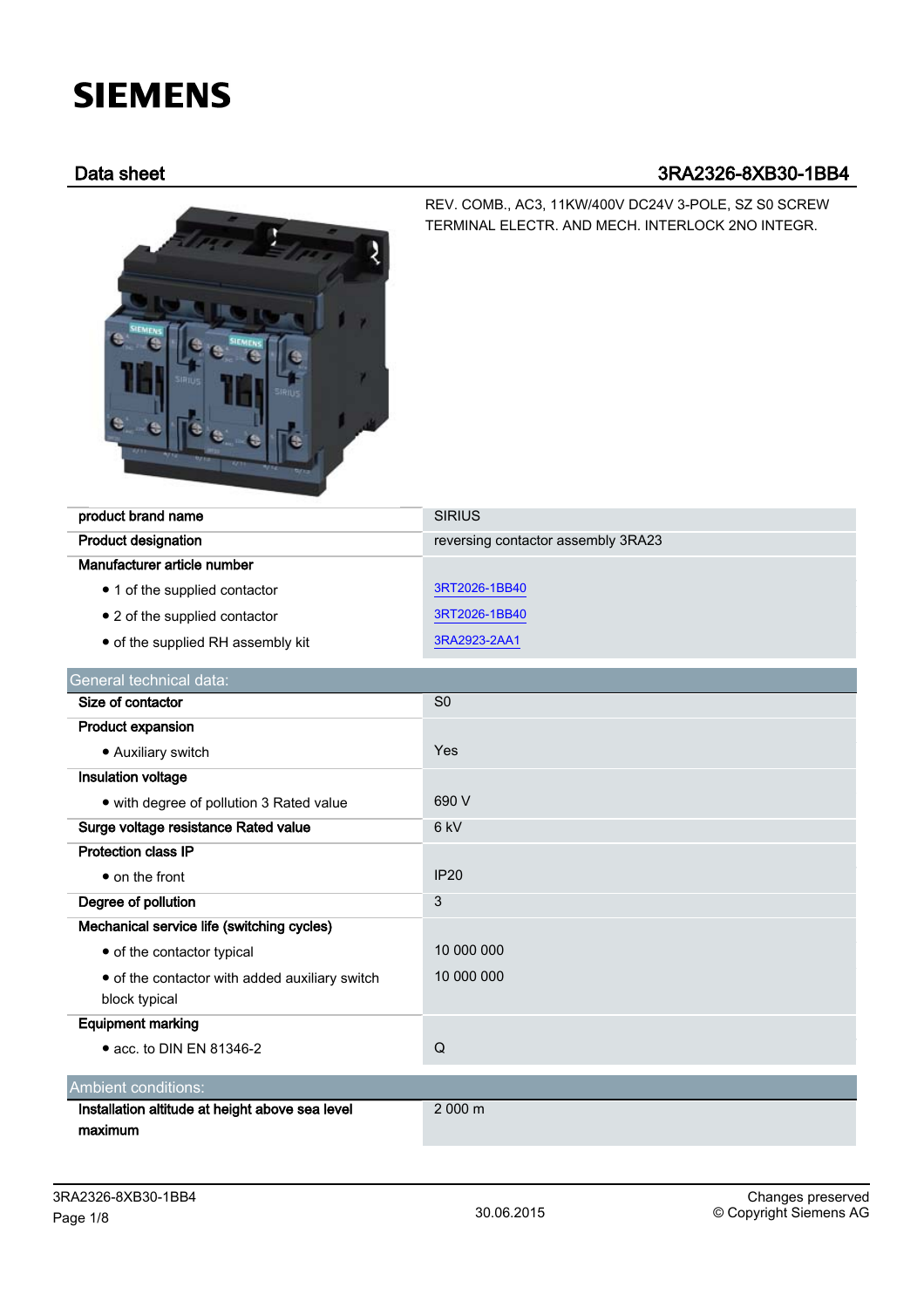# **SIEMENS**

### Data sheet 3RA2326-8XB30-1BB4



REV. COMB., AC3, 11KW/400V DC24V 3-POLE, SZ S0 SCREW TERMINAL ELECTR. AND MECH. INTERLOCK 2NO INTEGR.

| product brand name                              | <b>SIRIUS</b>                      |  |  |
|-------------------------------------------------|------------------------------------|--|--|
| <b>Product designation</b>                      | reversing contactor assembly 3RA23 |  |  |
| Manufacturer article number                     |                                    |  |  |
| • 1 of the supplied contactor                   | 3RT2026-1BB40                      |  |  |
| • 2 of the supplied contactor                   | 3RT2026-1BB40                      |  |  |
| • of the supplied RH assembly kit               | 3RA2923-2AA1                       |  |  |
| General technical data:                         |                                    |  |  |
| Size of contactor                               | S <sub>0</sub>                     |  |  |
| Product expansion                               |                                    |  |  |
| • Auxiliary switch                              | Yes                                |  |  |
| Insulation voltage                              |                                    |  |  |
| · with degree of pollution 3 Rated value        | 690 V                              |  |  |
| Surge voltage resistance Rated value            | 6 kV                               |  |  |
| <b>Protection class IP</b>                      |                                    |  |  |
| • on the front                                  | <b>IP20</b>                        |  |  |
| Degree of pollution                             | 3                                  |  |  |
| Mechanical service life (switching cycles)      |                                    |  |  |
| • of the contactor typical                      | 10 000 000                         |  |  |
| • of the contactor with added auxiliary switch  | 10 000 000                         |  |  |
| block typical                                   |                                    |  |  |
| <b>Equipment marking</b>                        |                                    |  |  |
| • acc. to DIN EN 81346-2                        | $\sf Q$                            |  |  |
| <b>Ambient conditions:</b>                      |                                    |  |  |
| Installation altitude at height above sea level | 2 000 m                            |  |  |
| maximum                                         |                                    |  |  |
|                                                 |                                    |  |  |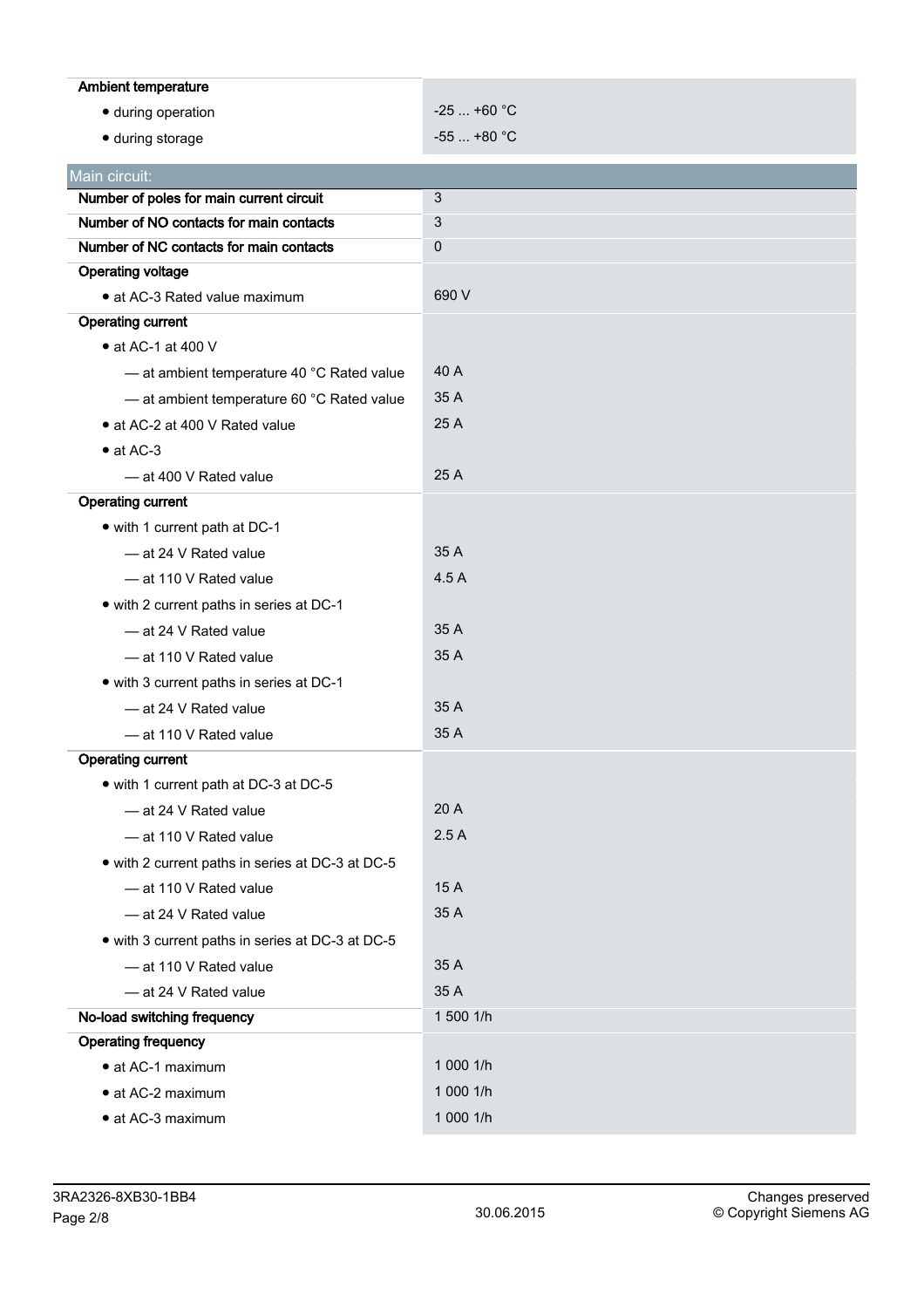| Ambient temperature                              |                |  |  |
|--------------------------------------------------|----------------|--|--|
| · during operation                               | $-25+60$ °C    |  |  |
| · during storage                                 | $-55+80 °C$    |  |  |
| Main circuit:                                    |                |  |  |
| Number of poles for main current circuit         | $\mathfrak{S}$ |  |  |
| Number of NO contacts for main contacts          | $\mathfrak{S}$ |  |  |
| Number of NC contacts for main contacts          | $\mathbf 0$    |  |  |
| <b>Operating voltage</b>                         |                |  |  |
| • at AC-3 Rated value maximum                    | 690 V          |  |  |
| <b>Operating current</b>                         |                |  |  |
| $\bullet$ at AC-1 at 400 V                       |                |  |  |
| - at ambient temperature 40 °C Rated value       | 40 A           |  |  |
| - at ambient temperature 60 °C Rated value       | 35 A           |  |  |
| • at AC-2 at 400 V Rated value                   | 25 A           |  |  |
| $\bullet$ at AC-3                                |                |  |  |
| - at 400 V Rated value                           | 25 A           |  |  |
| <b>Operating current</b>                         |                |  |  |
| • with 1 current path at DC-1                    |                |  |  |
| - at 24 V Rated value                            | 35 A           |  |  |
| - at 110 V Rated value                           | 4.5A           |  |  |
| • with 2 current paths in series at DC-1         |                |  |  |
| - at 24 V Rated value                            | 35 A           |  |  |
| - at 110 V Rated value                           | 35 A           |  |  |
| • with 3 current paths in series at DC-1         |                |  |  |
| - at 24 V Rated value                            | 35 A           |  |  |
| - at 110 V Rated value                           | 35 A           |  |  |
| <b>Operating current</b>                         |                |  |  |
| • with 1 current path at DC-3 at DC-5            |                |  |  |
| - at 24 V Rated value                            | 20 A           |  |  |
| - at 110 V Rated value                           | 2.5A           |  |  |
| • with 2 current paths in series at DC-3 at DC-5 |                |  |  |
| - at 110 V Rated value                           | 15 A           |  |  |
| - at 24 V Rated value                            | 35 A           |  |  |
| • with 3 current paths in series at DC-3 at DC-5 |                |  |  |
| - at 110 V Rated value                           | 35 A           |  |  |
| - at 24 V Rated value                            | 35 A           |  |  |
| No-load switching frequency                      | 1 500 1/h      |  |  |
| <b>Operating frequency</b>                       |                |  |  |
| • at AC-1 maximum                                | 1 000 1/h      |  |  |
| • at AC-2 maximum                                | 1 000 1/h      |  |  |
| • at AC-3 maximum                                | 1 000 1/h      |  |  |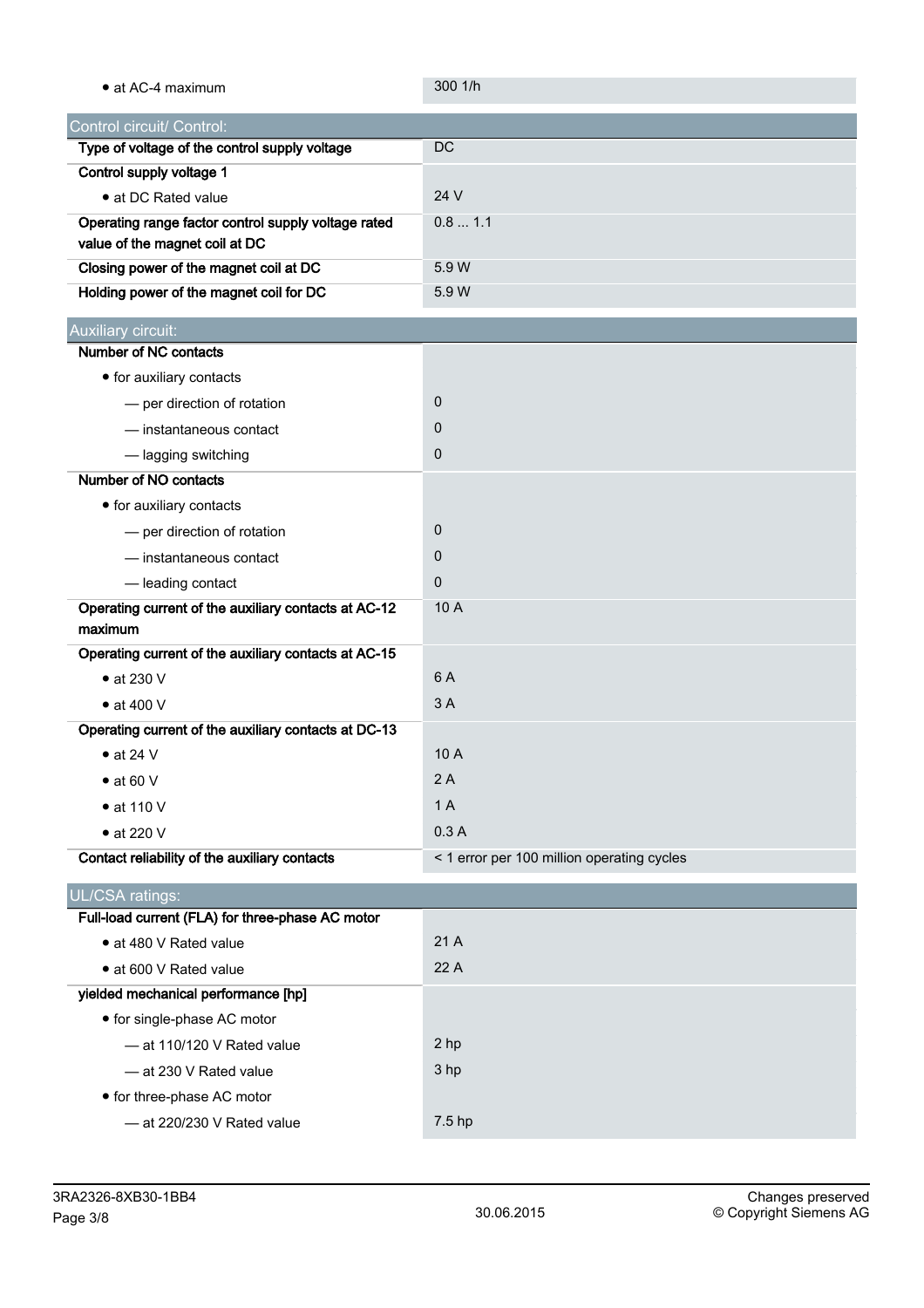| • at AC-4 maximum                                               | 300 1/h                                    |  |  |  |
|-----------------------------------------------------------------|--------------------------------------------|--|--|--|
| Control circuit/ Control:                                       |                                            |  |  |  |
| Type of voltage of the control supply voltage                   | DC                                         |  |  |  |
| Control supply voltage 1                                        |                                            |  |  |  |
| • at DC Rated value                                             | 24 V                                       |  |  |  |
| Operating range factor control supply voltage rated             | 0.81.1                                     |  |  |  |
| value of the magnet coil at DC                                  |                                            |  |  |  |
| Closing power of the magnet coil at DC                          | 5.9 W                                      |  |  |  |
| Holding power of the magnet coil for DC                         | 5.9 W                                      |  |  |  |
| Auxiliary circuit:                                              |                                            |  |  |  |
| Number of NC contacts                                           |                                            |  |  |  |
| • for auxiliary contacts                                        |                                            |  |  |  |
| - per direction of rotation                                     | 0                                          |  |  |  |
| - instantaneous contact                                         | $\mathbf 0$                                |  |  |  |
| -lagging switching                                              | $\mathbf 0$                                |  |  |  |
| Number of NO contacts                                           |                                            |  |  |  |
| • for auxiliary contacts                                        |                                            |  |  |  |
| - per direction of rotation                                     | $\mathbf 0$                                |  |  |  |
| - instantaneous contact                                         | $\mathbf 0$                                |  |  |  |
| - leading contact                                               | $\mathbf{0}$                               |  |  |  |
| Operating current of the auxiliary contacts at AC-12<br>maximum | 10 A                                       |  |  |  |
| Operating current of the auxiliary contacts at AC-15            |                                            |  |  |  |
| $\bullet$ at 230 V                                              | 6 A                                        |  |  |  |
| $\bullet$ at 400 V                                              | 3A                                         |  |  |  |
| Operating current of the auxiliary contacts at DC-13            |                                            |  |  |  |
| $\bullet$ at 24 V                                               | 10A                                        |  |  |  |
| $\bullet$ at 60 V                                               | 2A                                         |  |  |  |
| $\bullet$ at 110 V                                              | 1A                                         |  |  |  |
| $\bullet$ at 220 V                                              | 0.3A                                       |  |  |  |
| Contact reliability of the auxiliary contacts                   | < 1 error per 100 million operating cycles |  |  |  |
|                                                                 |                                            |  |  |  |
| UL/CSA ratings:                                                 |                                            |  |  |  |
| Full-load current (FLA) for three-phase AC motor                | 21 A                                       |  |  |  |
| • at 480 V Rated value                                          |                                            |  |  |  |
| • at 600 V Rated value                                          | 22 A                                       |  |  |  |
| yielded mechanical performance [hp]                             |                                            |  |  |  |
| • for single-phase AC motor                                     |                                            |  |  |  |
| - at 110/120 V Rated value                                      | 2 hp                                       |  |  |  |
| - at 230 V Rated value                                          | 3 hp                                       |  |  |  |
| • for three-phase AC motor                                      |                                            |  |  |  |
| - at 220/230 V Rated value                                      | 7.5 hp                                     |  |  |  |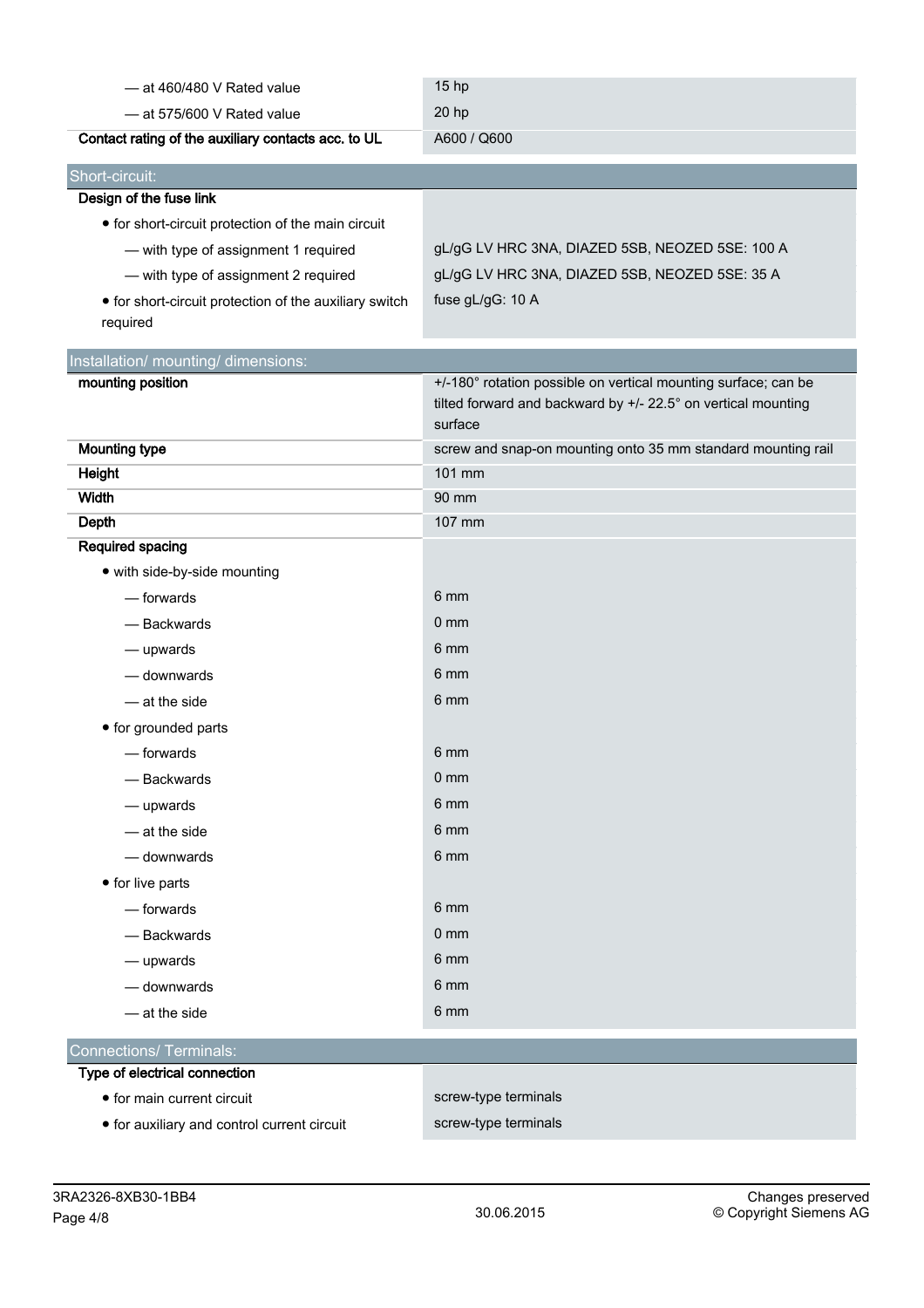| - at 460/480 V Rated value                                         | 15 hp                                                                                                                                      |  |  |  |
|--------------------------------------------------------------------|--------------------------------------------------------------------------------------------------------------------------------------------|--|--|--|
| - at 575/600 V Rated value                                         | 20 hp                                                                                                                                      |  |  |  |
| Contact rating of the auxiliary contacts acc. to UL                | A600 / Q600                                                                                                                                |  |  |  |
| Short-circuit:                                                     |                                                                                                                                            |  |  |  |
| Design of the fuse link                                            |                                                                                                                                            |  |  |  |
| • for short-circuit protection of the main circuit                 |                                                                                                                                            |  |  |  |
| - with type of assignment 1 required                               | gL/gG LV HRC 3NA, DIAZED 5SB, NEOZED 5SE: 100 A                                                                                            |  |  |  |
| - with type of assignment 2 required                               | gL/gG LV HRC 3NA, DIAZED 5SB, NEOZED 5SE: 35 A                                                                                             |  |  |  |
| • for short-circuit protection of the auxiliary switch<br>required | fuse gL/gG: 10 A                                                                                                                           |  |  |  |
| Installation/ mounting/ dimensions:                                |                                                                                                                                            |  |  |  |
| mounting position                                                  | +/-180° rotation possible on vertical mounting surface; can be<br>tilted forward and backward by +/- 22.5° on vertical mounting<br>surface |  |  |  |
| <b>Mounting type</b>                                               | screw and snap-on mounting onto 35 mm standard mounting rail                                                                               |  |  |  |
| Height                                                             | 101 mm                                                                                                                                     |  |  |  |
| Width                                                              | 90 mm                                                                                                                                      |  |  |  |
| Depth                                                              | 107 mm                                                                                                                                     |  |  |  |
| <b>Required spacing</b>                                            |                                                                                                                                            |  |  |  |
| • with side-by-side mounting                                       |                                                                                                                                            |  |  |  |
| — forwards                                                         | 6 mm                                                                                                                                       |  |  |  |
| - Backwards                                                        | $0 \text{ mm}$                                                                                                                             |  |  |  |
| - upwards                                                          | 6 mm                                                                                                                                       |  |  |  |
| — downwards                                                        | 6 mm                                                                                                                                       |  |  |  |
| - at the side                                                      | 6 mm                                                                                                                                       |  |  |  |
| • for grounded parts                                               |                                                                                                                                            |  |  |  |
| — forwards                                                         | 6 mm                                                                                                                                       |  |  |  |
| - Backwards                                                        | 0 <sub>mm</sub>                                                                                                                            |  |  |  |
| - upwards                                                          | 6 mm                                                                                                                                       |  |  |  |
| - at the side                                                      | 6 mm                                                                                                                                       |  |  |  |
| - downwards                                                        | 6 mm                                                                                                                                       |  |  |  |
| • for live parts                                                   |                                                                                                                                            |  |  |  |
| - forwards                                                         | 6 mm                                                                                                                                       |  |  |  |
| - Backwards                                                        | 0 <sub>mm</sub>                                                                                                                            |  |  |  |
| - upwards                                                          | 6 mm                                                                                                                                       |  |  |  |
| - downwards                                                        | 6 mm                                                                                                                                       |  |  |  |
| - at the side                                                      | 6 mm                                                                                                                                       |  |  |  |
| <b>Connections/ Terminals:</b>                                     |                                                                                                                                            |  |  |  |

## Type of electrical connection

• for main current circuit screw-type terminals • for auxiliary and control current circuit screw-type terminals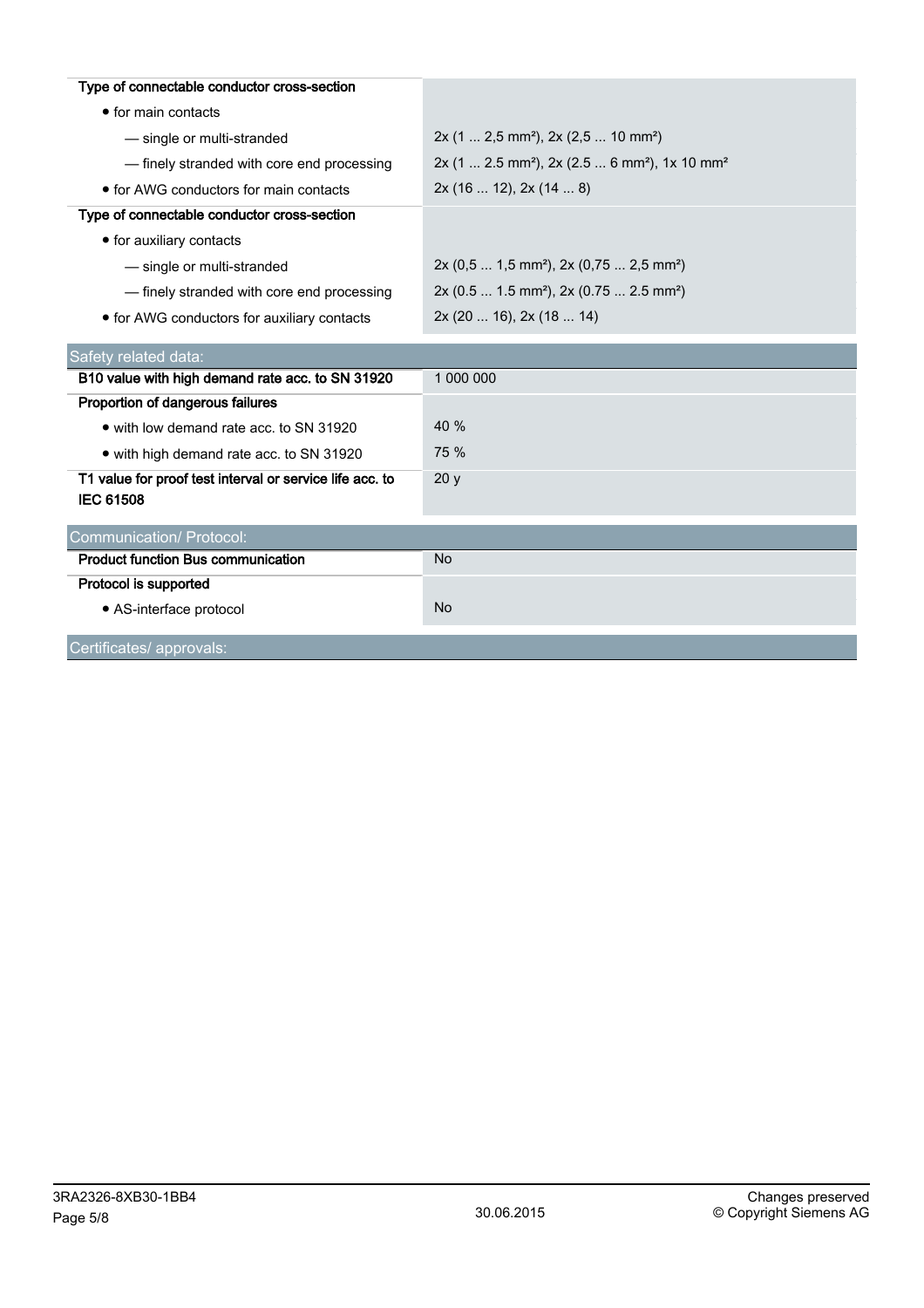| Type of connectable conductor cross-section              |                                                                                   |  |  |  |
|----------------------------------------------------------|-----------------------------------------------------------------------------------|--|--|--|
| $\bullet$ for main contacts                              |                                                                                   |  |  |  |
| - single or multi-stranded                               | $2x$ (1  2,5 mm <sup>2</sup> ), $2x$ (2,5  10 mm <sup>2</sup> )                   |  |  |  |
| - finely stranded with core end processing               | 2x (1  2.5 mm <sup>2</sup> ), 2x (2.5  6 mm <sup>2</sup> ), 1x 10 mm <sup>2</sup> |  |  |  |
| • for AWG conductors for main contacts                   | 2x(1612), 2x(148)                                                                 |  |  |  |
| Type of connectable conductor cross-section              |                                                                                   |  |  |  |
| • for auxiliary contacts                                 |                                                                                   |  |  |  |
| - single or multi-stranded                               | $2x (0,5  1,5 mm2)$ , $2x (0,75  2,5 mm2)$                                        |  |  |  |
| - finely stranded with core end processing               | $2x (0.5  1.5 mm2)$ , $2x (0.75  2.5 mm2)$                                        |  |  |  |
| • for AWG conductors for auxiliary contacts              | 2x(2016), 2x(1814)                                                                |  |  |  |
|                                                          |                                                                                   |  |  |  |
| Safety related data:                                     |                                                                                   |  |  |  |
| B10 value with high demand rate acc. to SN 31920         | 1 000 000                                                                         |  |  |  |
| Proportion of dangerous failures                         |                                                                                   |  |  |  |
| • with low demand rate acc. to SN 31920                  | 40 %                                                                              |  |  |  |
| • with high demand rate acc. to SN 31920                 | 75 %                                                                              |  |  |  |
| T1 value for proof test interval or service life acc. to | 20y                                                                               |  |  |  |
| <b>IEC 61508</b>                                         |                                                                                   |  |  |  |
| <b>Communication/Protocol:</b>                           |                                                                                   |  |  |  |
| <b>Product function Bus communication</b>                | <b>No</b>                                                                         |  |  |  |
| Protocol is supported                                    |                                                                                   |  |  |  |
| • AS-interface protocol                                  | <b>No</b>                                                                         |  |  |  |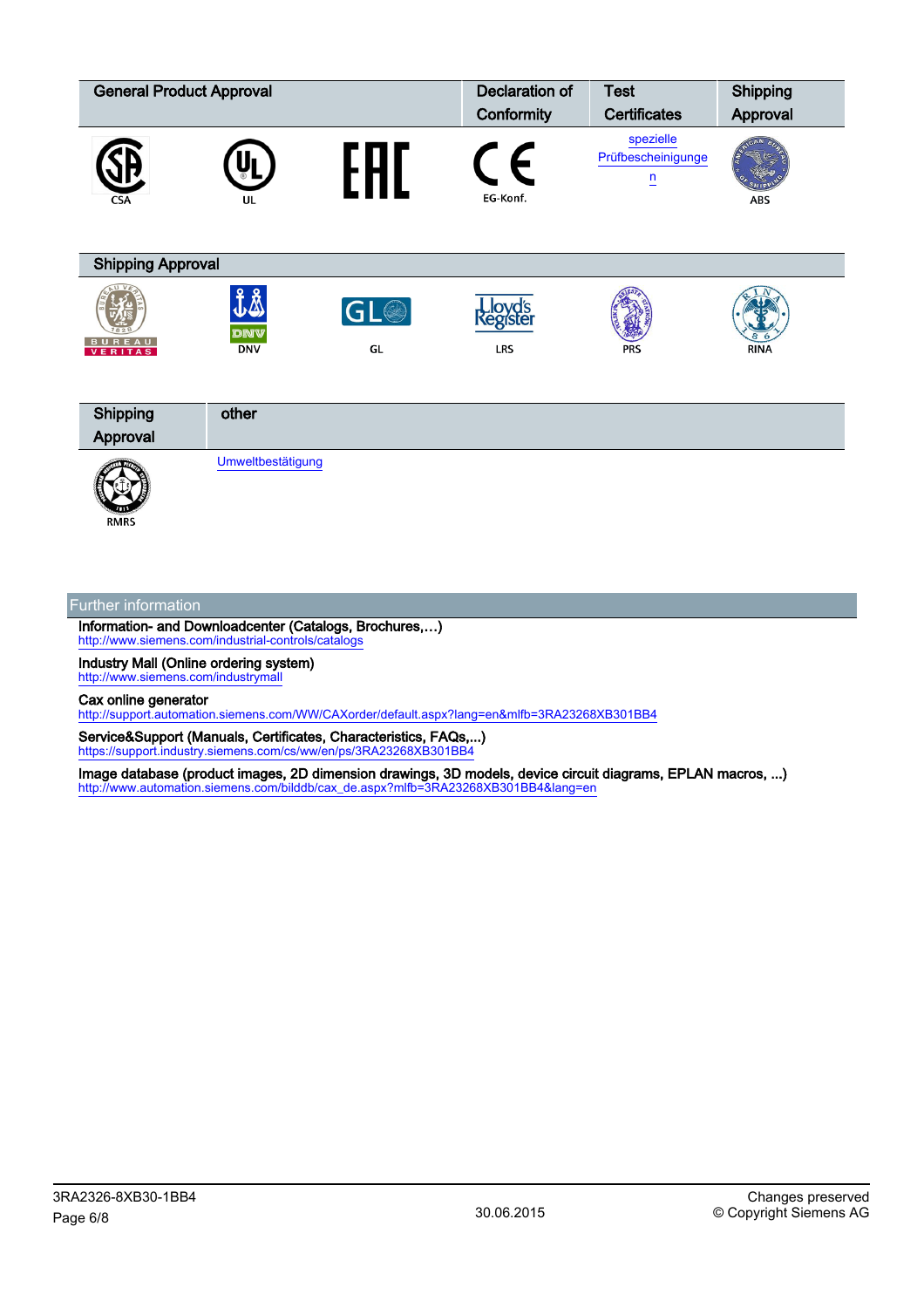| <b>General Product Approval</b> |                               |                           | <b>Declaration of</b>                     | <b>Test</b>                                       | Shipping    |  |  |
|---------------------------------|-------------------------------|---------------------------|-------------------------------------------|---------------------------------------------------|-------------|--|--|
|                                 |                               |                           | Conformity                                | <b>Certificates</b>                               | Approval    |  |  |
| <b>CSA</b>                      | UL                            |                           | ←<br>EG-Konf.                             | spezielle<br>Prüfbescheinigunge<br>$\overline{u}$ | ABS         |  |  |
| <b>Shipping Approval</b>        |                               |                           |                                           |                                                   |             |  |  |
| <b>BUREAU</b><br><b>VERITAS</b> | $\delta$<br>DNV<br><b>DNV</b> | GL<br>$\circledast$<br>GL | <b>Lloyd's<br/>Register</b><br><b>LRS</b> | <b>PRS</b>                                        | <b>RINA</b> |  |  |
| Shipping                        | other                         |                           |                                           |                                                   |             |  |  |
| Approval                        |                               |                           |                                           |                                                   |             |  |  |
| <b>RMRS</b>                     | Umweltbestätigung             |                           |                                           |                                                   |             |  |  |

#### Further information

Information- and Downloadcenter (Catalogs, Brochures,…) <http://www.siemens.com/industrial-controls/catalogs>

Industry Mall (Online ordering system) <http://www.siemens.com/industrymall>

Cax online generator

<http://support.automation.siemens.com/WW/CAXorder/default.aspx?lang=en&mlfb=3RA23268XB301BB4>

Service&Support (Manuals, Certificates, Characteristics, FAQs,...) <https://support.industry.siemens.com/cs/ww/en/ps/3RA23268XB301BB4>

Image database (product images, 2D dimension drawings, 3D models, device circuit diagrams, EPLAN macros, ...) [http://www.automation.siemens.com/bilddb/cax\\_de.aspx?mlfb=3RA23268XB301BB4&lang=en](http://www.automation.siemens.com/bilddb/cax_de.aspx?mlfb=3RA23268XB301BB4&lang=en)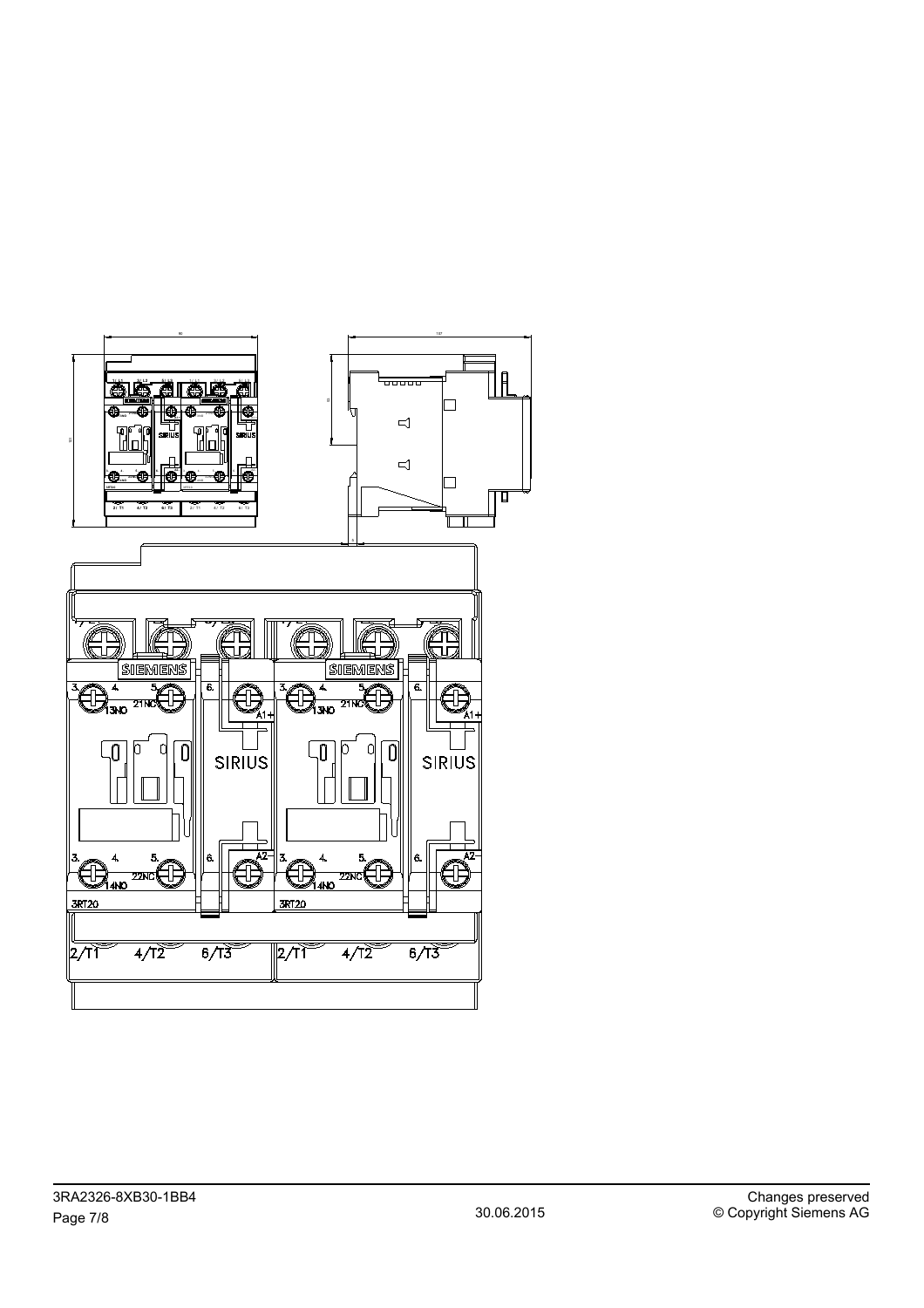